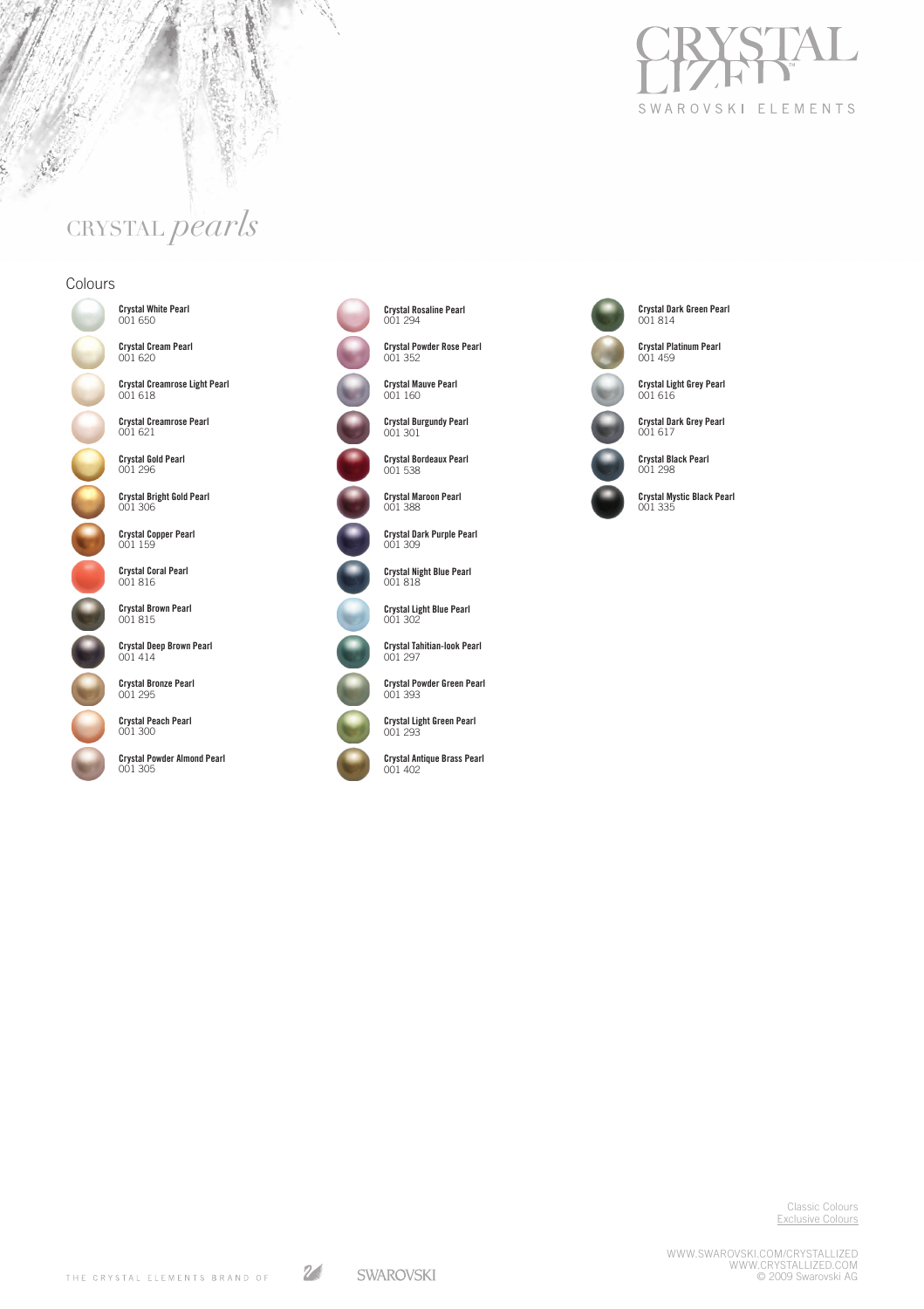

# CRYSTAL *pearls*

### Colours

あまい



 Crystal White Pearl 001 650 **Crystal Cream Pearl**<br>001 620

001 618

001 621

Crystal Creamrose Light Pearl

Crystal Creamrose Pearl

Crystal Gold Pearl 001 296

Crystal Bright Gold Pearl 001 306

Crystal Copper Pearl 001 159

**Crystal Coral Pearl**<br>001 816

Crystal Brown Pearl 001 815

Crystal Deep Brown Pearl 001 414

Crystal Bronze Pearl 001 295

Crystal Peach Pearl 001 300

Crystal Powder Almond Pearl 001 305

Crystal Rosaline Pearl 001 294

Crystal Powder Rose Pearl 001 352



Crystal Burgundy Pearl 001 301



r.

Crystal Bordeaux Pearl 001 538 Crystal Maroon Pearl 001 388

Crystal Dark Purple Pearl 001 309

Crystal Night Blue Pearl 001 818



Crystal Light Blue Pearl 001 302 Crystal Tahitian-look Pearl



001 297 Crystal Powder Green Pearl

001 393



Crystal Light Green Pearl 001 293

Crystal Antique Brass Pearl 001 402



Crystal Dark Grey Pearl 001 617

Crystal Dark Green Pearl 001 814

Crystal Platinum Pearl 001 459

Crystal Light Grey Pearl 001 616



Crystal Mystic Black Pearl 001 335

Classic Colours Exclusive Colours